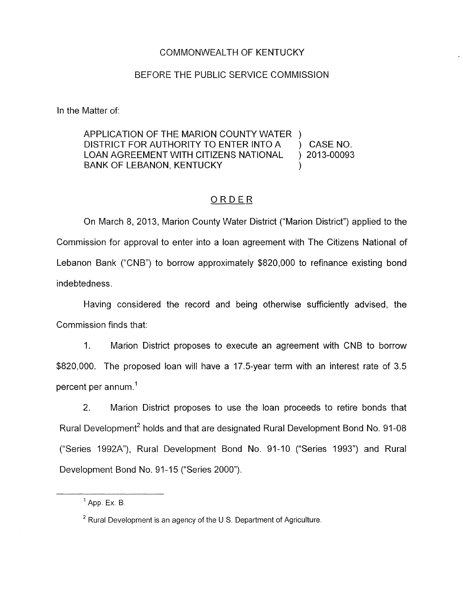## COMMONWEALTH OF KENTUCKY

## BEFORE THE PUBLIC SERVICE COMMISSION

In the Matter of:

## APPLICATION OF THE MARION COUNTY WATER )<br>DISTRICT FOR AUTHORITY TO ENTER INTO A DISTRICT FOR AUTHORITY TO ENTER INTO A ) CASE NO. LOAN AGREEMENT WITH CITIZENS NATIONAL BANK OF LEBANON, KENTUCKY  $)$  2013-00093

## ORDER

On March 8, 2013, Marion County Water District ("Marion District") applied to the Commission for approval to enter into a loan agreement with The Citizens National of Lebanon Bank ("CNB") to borrow approximately \$820,000 to refinance existing bond indebtedness.

Having considered the record and being otherwise sufficiently advised, the Commission finds that:

1. Marion District proposes to execute an agreement with CNB to borrow \$820,000. The proposed loan will have a 17.5-year term with an interest rate of 3.5 percent per annum.'

2. Marion District proposes to use the loan proceeds to retire bonds that Rural Development<sup>2</sup> holds and that are designated Rural Development Bond No. 91-08 ("Series 1992A"), Rural Development Bond No. 91-10 ("Series 1993") and Rural Development Bond No. 91-15 ("Series 2000").

<sup>&</sup>lt;sup>1</sup> App. Ex. B.

<sup>&</sup>lt;sup>2</sup> Rural Development is an agency of the U.S. Department of Agriculture.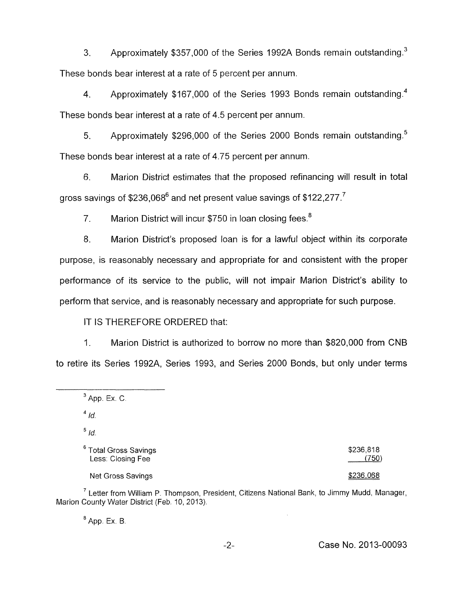3. Approximately \$357,000 of the Series 1992A Bonds remain outstanding.<sup>3</sup> These bonds bear interest at a rate of 5 percent per annum.

4. Approximately \$167,000 of the Series 1993 Bonds remain outstanding.<sup>4</sup> These bonds bear interest at a rate of 4.5 percent per annum.

5. Approximately \$296,000 of the Series 2000 Bonds remain outstanding.<sup>5</sup> These bonds bear interest at a rate of 4.75 percent per annum.

*6.* Marion District estimates that the proposed refinancing will result in total gross savings of \$236,068<sup>6</sup> and net present value savings of \$122,277.<sup>7</sup>

7. Marion District will incur \$750 in loan closing fees. $8$ 

8. Marion District's proposed loan is for a lawful object within its corporate purpose, is reasonably necessary and appropriate for and consistent with the proper performance of its service to the public, will not impair Marion District's ability to perform that service, and is reasonably necessary and appropriate for such purpose.

IT IS THEREFORE ORDERED that:

1. Marion District is authorized to borrow no more than \$820,000 from CNB to retire its Series 1992A, Series 1993, and Series 2000 Bonds, but only under terms

 $\frac{4}{d}$ 

 $\frac{5}{1}$ *Id.* 

| ° Total Gross Savings | \$236,818 |
|-----------------------|-----------|
| Less: Closing Fee     | (750)     |

 $(750)$ 

Net Gross Savings **\$236.068** 

 $<sup>7</sup>$  Letter from William P. Thompson, President, Citizens National Bank, to Jimmy Mudd, Manager,</sup> Marion County Water District (Feb. 10, 2013).

 $<sup>8</sup>$  App. Ex. B.</sup>

<sup>&</sup>lt;sup>3</sup> App. Ex. C.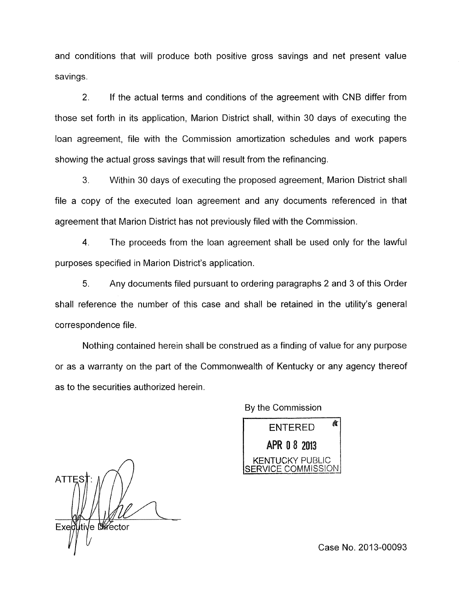and conditions that will produce both positive gross savings and net present value savings.

2. If the actual terms and conditions of the agreement with CNB differ from those set forth in its application, Marion District shall, within 30 days of executing the loan agreement, file with the Commission amortization schedules and work papers showing the actual gross savings that will result from the refinancing.

**3.** Within 30 days of executing the proposed agreement, Marion District shall file a copy of the executed loan agreement and any documents referenced in that agreement that Marion District has not previously filed with the Commission.

4. The proceeds from the loan agreement shall be used only for the lawful purposes specified in Marion District's application.

5. Any documents filed pursuant to ordering paragraphs 2 and 3 of this Order shall reference the number of this case and shall be retained in the utility's general correspondence file.

Nothing contained herein shall be construed as a finding of value for any purpose or as a warranty on the part of the Commonwealth of Kentucky or any agency thereof as to the securities authorized herein.

By the Commission

貪 **ENTERED** APR 0 8 2013 **KENTUCKY PUBLIC<br>ERVICE COMMISSION** 

*A*  ATTE: ltive *M*ector

Case No. 2013-00093